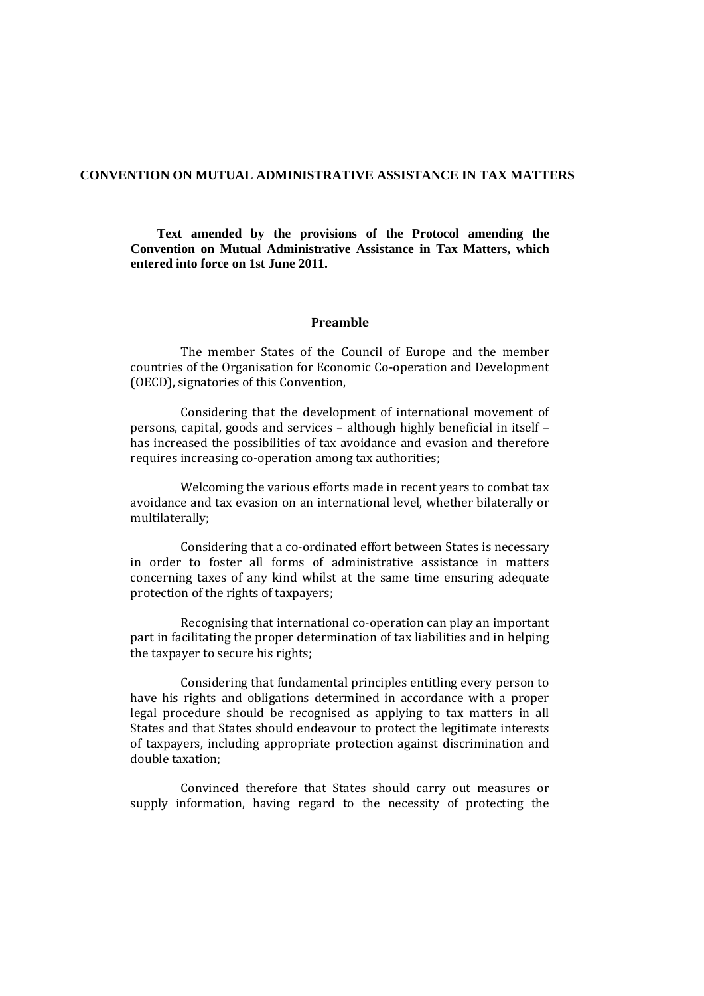### **CONVENTION ON MUTUAL ADMINISTRATIVE ASSISTANCE IN TAX MATTERS**

**Text amended by the provisions of the Protocol amending the Convention on Mutual Administrative Assistance in Tax Matters, which entered into force on 1st June 2011.**

#### **Preamble**

The member States of the Council of Europe and the member countries of the Organisation for Economic Co-operation and Development (OECD), signatories of this Convention,

Considering that the development of international movement of persons, capital, goods and services – although highly beneficial in itself – has increased the possibilities of tax avoidance and evasion and therefore requires increasing co-operation among tax authorities;

Welcoming the various efforts made in recent years to combat tax avoidance and tax evasion on an international level, whether bilaterally or multilaterally;

Considering that a co-ordinated effort between States is necessary in order to foster all forms of administrative assistance in matters concerning taxes of any kind whilst at the same time ensuring adequate protection of the rights of taxpayers;

Recognising that international co-operation can play an important part in facilitating the proper determination of tax liabilities and in helping the taxpayer to secure his rights;

Considering that fundamental principles entitling every person to have his rights and obligations determined in accordance with a proper legal procedure should be recognised as applying to tax matters in all States and that States should endeavour to protect the legitimate interests of taxpayers, including appropriate protection against discrimination and double taxation;

Convinced therefore that States should carry out measures or supply information, having regard to the necessity of protecting the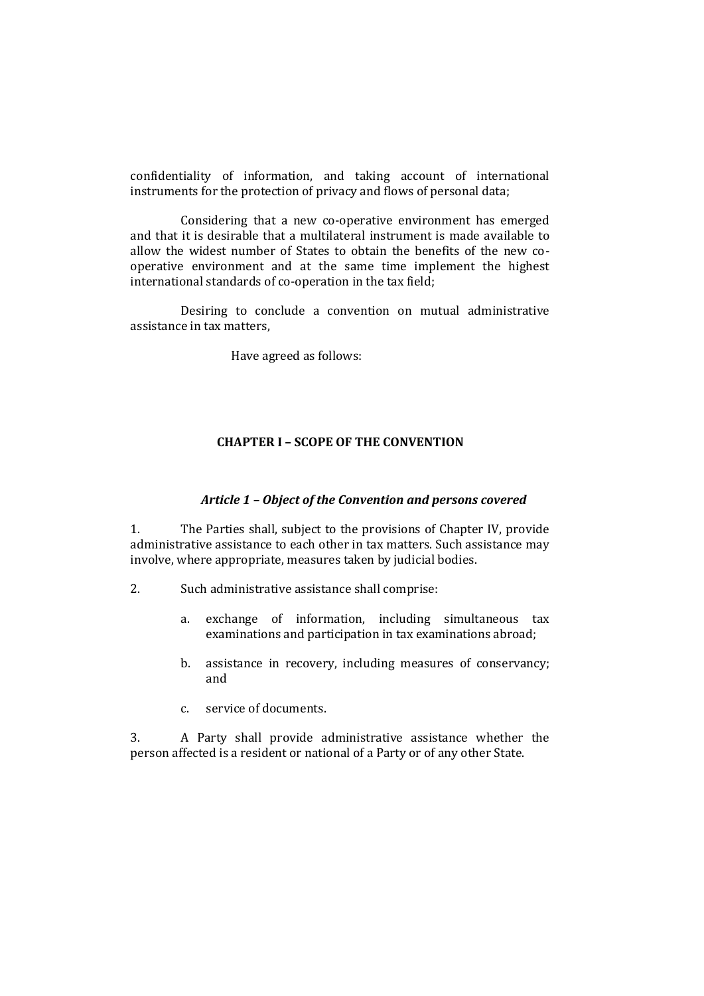confidentiality of information, and taking account of international instruments for the protection of privacy and flows of personal data;

Considering that a new co-operative environment has emerged and that it is desirable that a multilateral instrument is made available to allow the widest number of States to obtain the benefits of the new cooperative environment and at the same time implement the highest international standards of co-operation in the tax field;

Desiring to conclude a convention on mutual administrative assistance in tax matters,

Have agreed as follows:

#### **CHAPTER I – SCOPE OF THE CONVENTION**

# *Article 1 – Object of the Convention and persons covered*

1. The Parties shall, subject to the provisions of Chapter IV, provide administrative assistance to each other in tax matters. Such assistance may involve, where appropriate, measures taken by judicial bodies.

- 2. Such administrative assistance shall comprise:
	- a. exchange of information, including simultaneous tax examinations and participation in tax examinations abroad;
	- b. assistance in recovery, including measures of conservancy; and
	- c. service of documents.

3. A Party shall provide administrative assistance whether the person affected is a resident or national of a Party or of any other State.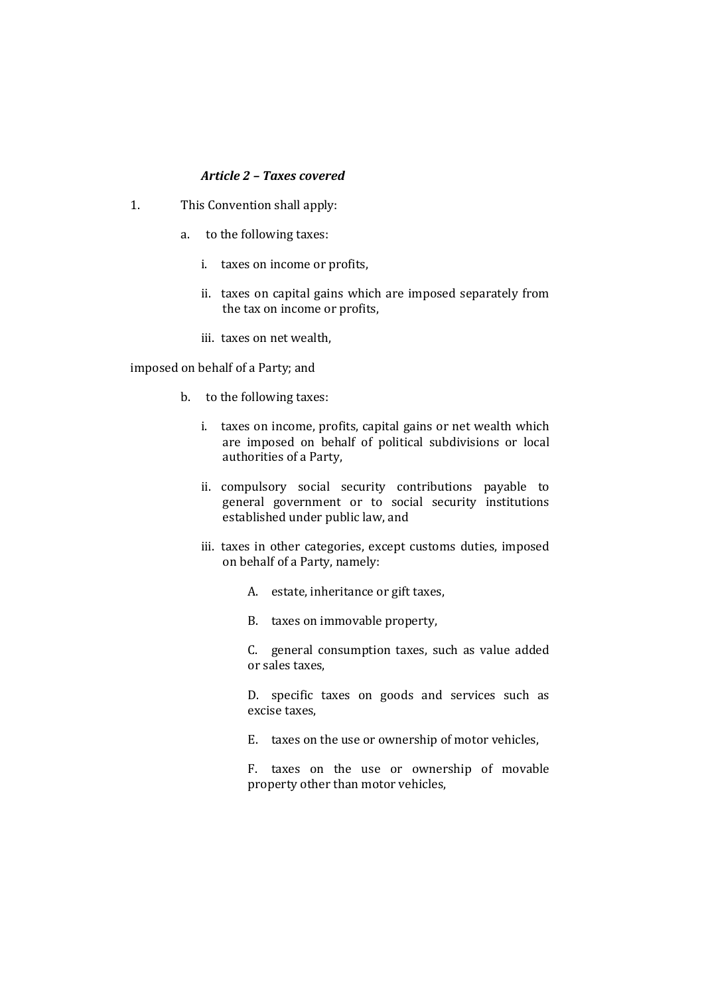### *Article 2 – Taxes covered*

- 1. This Convention shall apply:
	- a. to the following taxes:
		- i. taxes on income or profits,
		- ii. taxes on capital gains which are imposed separately from the tax on income or profits,
		- iii. taxes on net wealth,

imposed on behalf of a Party; and

- b. to the following taxes:
	- i. taxes on income, profits, capital gains or net wealth which are imposed on behalf of political subdivisions or local authorities of a Party,
	- ii. compulsory social security contributions payable to general government or to social security institutions established under public law, and
	- iii. taxes in other categories, except customs duties, imposed on behalf of a Party, namely:
		- A. estate, inheritance or gift taxes,
		- B. taxes on immovable property,

C. general consumption taxes, such as value added or sales taxes,

D. specific taxes on goods and services such as excise taxes,

E. taxes on the use or ownership of motor vehicles,

F. taxes on the use or ownership of movable property other than motor vehicles,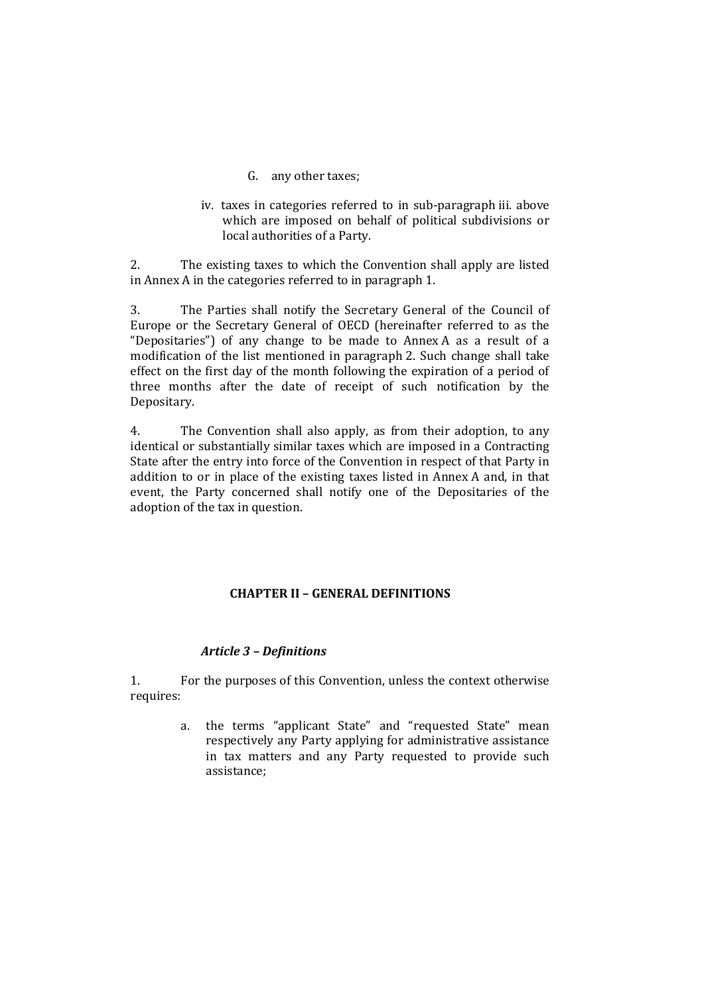- G. any other taxes;
- iv. taxes in categories referred to in sub-paragraph iii. above which are imposed on behalf of political subdivisions or local authorities of a Party.

2. The existing taxes to which the Convention shall apply are listed in Annex A in the categories referred to in paragraph 1.

3. The Parties shall notify the Secretary General of the Council of Europe or the Secretary General of OECD (hereinafter referred to as the "Depositaries") of any change to be made to Annex A as a result of a modification of the list mentioned in paragraph 2. Such change shall take effect on the first day of the month following the expiration of a period of three months after the date of receipt of such notification by the Depositary.

4. The Convention shall also apply, as from their adoption, to any identical or substantially similar taxes which are imposed in a Contracting State after the entry into force of the Convention in respect of that Party in addition to or in place of the existing taxes listed in Annex A and, in that event, the Party concerned shall notify one of the Depositaries of the adoption of the tax in question.

# **CHAPTER II – GENERAL DEFINITIONS**

# *Article 3 – Definitions*

1. For the purposes of this Convention, unless the context otherwise requires:

> a. the terms "applicant State" and "requested State" mean respectively any Party applying for administrative assistance in tax matters and any Party requested to provide such assistance;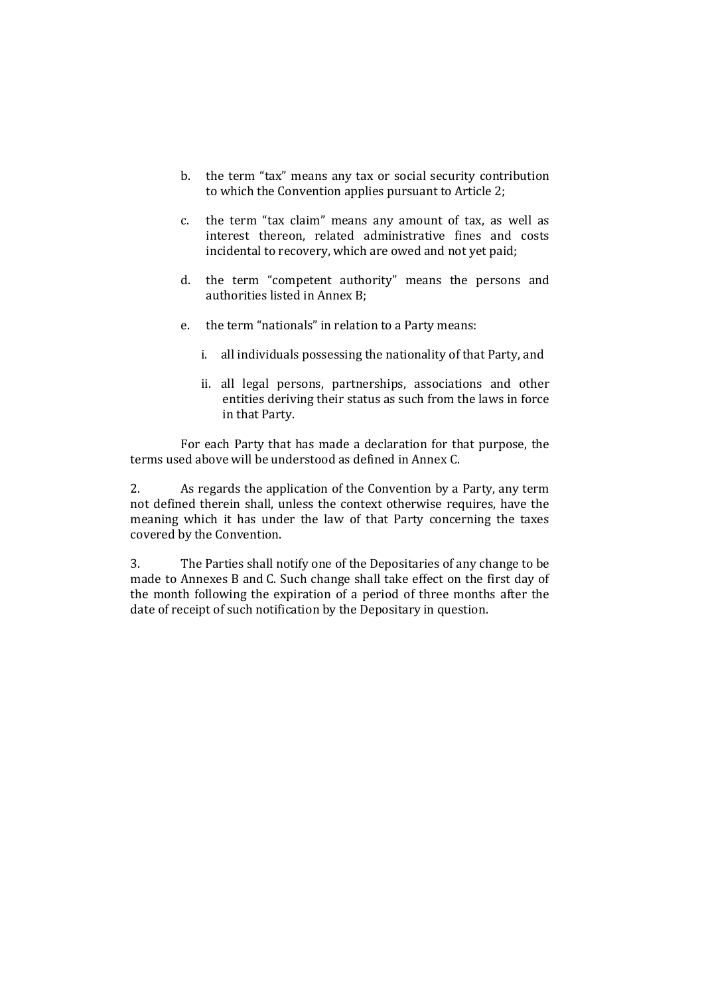- b. the term "tax" means any tax or social security contribution to which the Convention applies pursuant to Article 2;
- c. the term "tax claim" means any amount of tax, as well as interest thereon, related administrative fines and costs incidental to recovery, which are owed and not yet paid;
- d. the term "competent authority" means the persons and authorities listed in Annex B;
- e. the term "nationals" in relation to a Party means:
	- i. all individuals possessing the nationality of that Party, and
	- ii. all legal persons, partnerships, associations and other entities deriving their status as such from the laws in force in that Party.

For each Party that has made a declaration for that purpose, the terms used above will be understood as defined in Annex C.

2. As regards the application of the Convention by a Party, any term not defined therein shall, unless the context otherwise requires, have the meaning which it has under the law of that Party concerning the taxes covered by the Convention.

3. The Parties shall notify one of the Depositaries of any change to be made to Annexes B and C. Such change shall take effect on the first day of the month following the expiration of a period of three months after the date of receipt of such notification by the Depositary in question.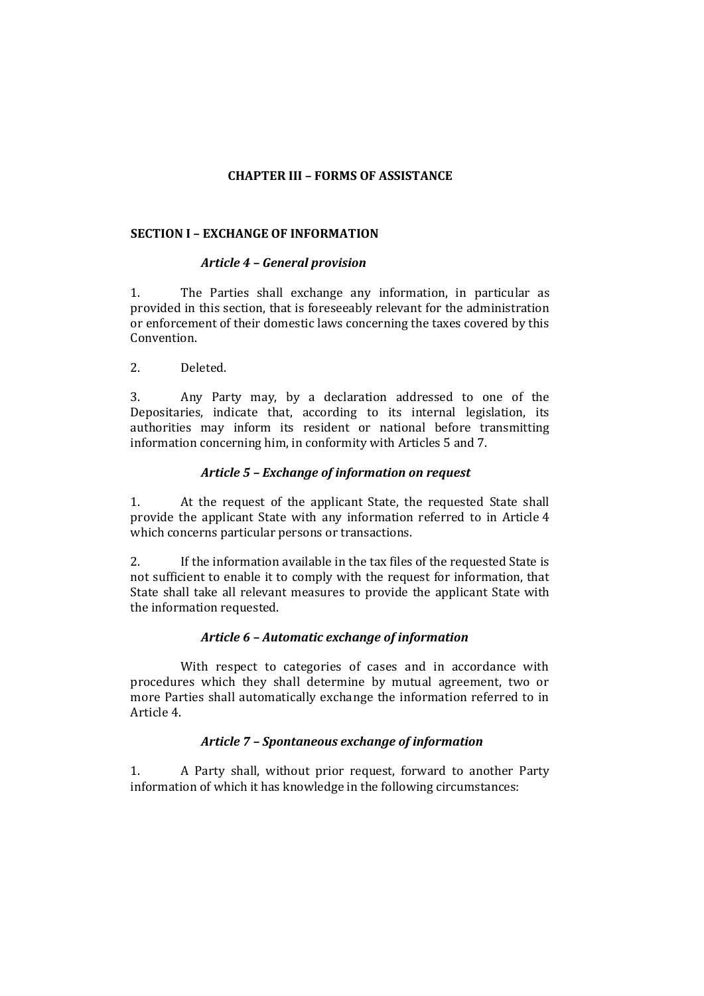### **CHAPTER III – FORMS OF ASSISTANCE**

### **SECTION I – EXCHANGE OF INFORMATION**

#### *Article 4 – General provision*

1. The Parties shall exchange any information, in particular as provided in this section, that is foreseeably relevant for the administration or enforcement of their domestic laws concerning the taxes covered by this Convention.

2. Deleted.

3. Any Party may, by a declaration addressed to one of the Depositaries, indicate that, according to its internal legislation, its authorities may inform its resident or national before transmitting information concerning him, in conformity with Articles 5 and 7.

#### *Article 5 – Exchange of information on request*

1. At the request of the applicant State, the requested State shall provide the applicant State with any information referred to in Article 4 which concerns particular persons or transactions.

2. If the information available in the tax files of the requested State is not sufficient to enable it to comply with the request for information, that State shall take all relevant measures to provide the applicant State with the information requested.

### *Article 6 – Automatic exchange of information*

With respect to categories of cases and in accordance with procedures which they shall determine by mutual agreement, two or more Parties shall automatically exchange the information referred to in Article 4.

### *Article 7 – Spontaneous exchange of information*

1. A Party shall, without prior request, forward to another Party information of which it has knowledge in the following circumstances: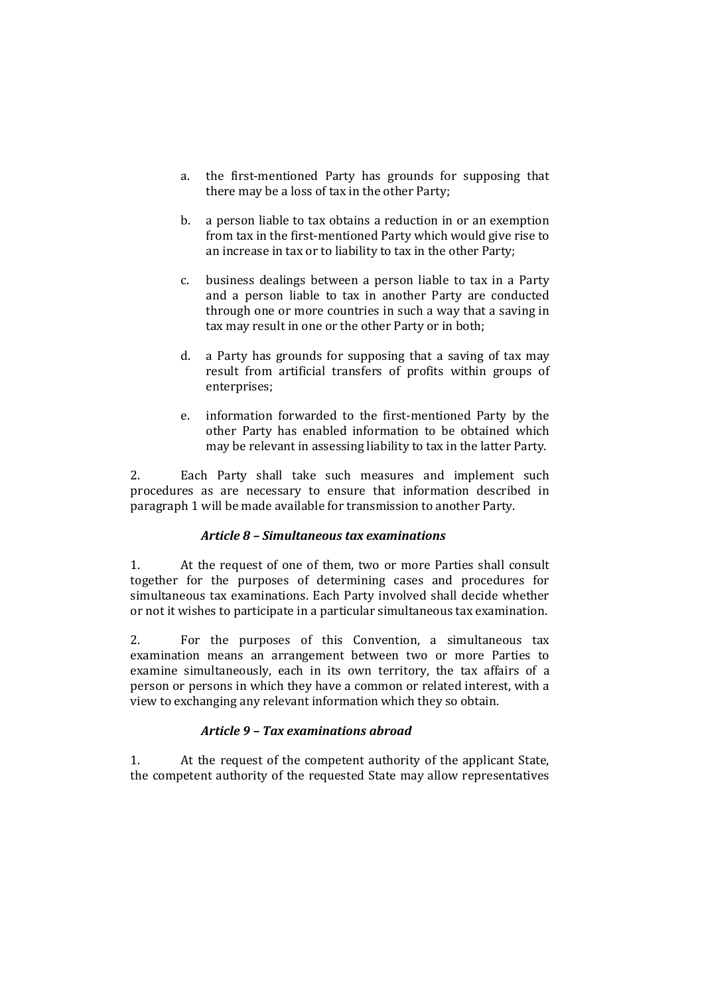- a. the first-mentioned Party has grounds for supposing that there may be a loss of tax in the other Party;
- b. a person liable to tax obtains a reduction in or an exemption from tax in the first-mentioned Party which would give rise to an increase in tax or to liability to tax in the other Party;
- c. business dealings between a person liable to tax in a Party and a person liable to tax in another Party are conducted through one or more countries in such a way that a saving in tax may result in one or the other Party or in both;
- d. a Party has grounds for supposing that a saving of tax may result from artificial transfers of profits within groups of enterprises;
- e. information forwarded to the first-mentioned Party by the other Party has enabled information to be obtained which may be relevant in assessing liability to tax in the latter Party.

2. Each Party shall take such measures and implement such procedures as are necessary to ensure that information described in paragraph 1 will be made available for transmission to another Party.

# *Article 8 – Simultaneous tax examinations*

1. At the request of one of them, two or more Parties shall consult together for the purposes of determining cases and procedures for simultaneous tax examinations. Each Party involved shall decide whether or not it wishes to participate in a particular simultaneous tax examination.

2. For the purposes of this Convention, a simultaneous tax examination means an arrangement between two or more Parties to examine simultaneously, each in its own territory, the tax affairs of a person or persons in which they have a common or related interest, with a view to exchanging any relevant information which they so obtain.

# *Article 9 – Tax examinations abroad*

1. At the request of the competent authority of the applicant State, the competent authority of the requested State may allow representatives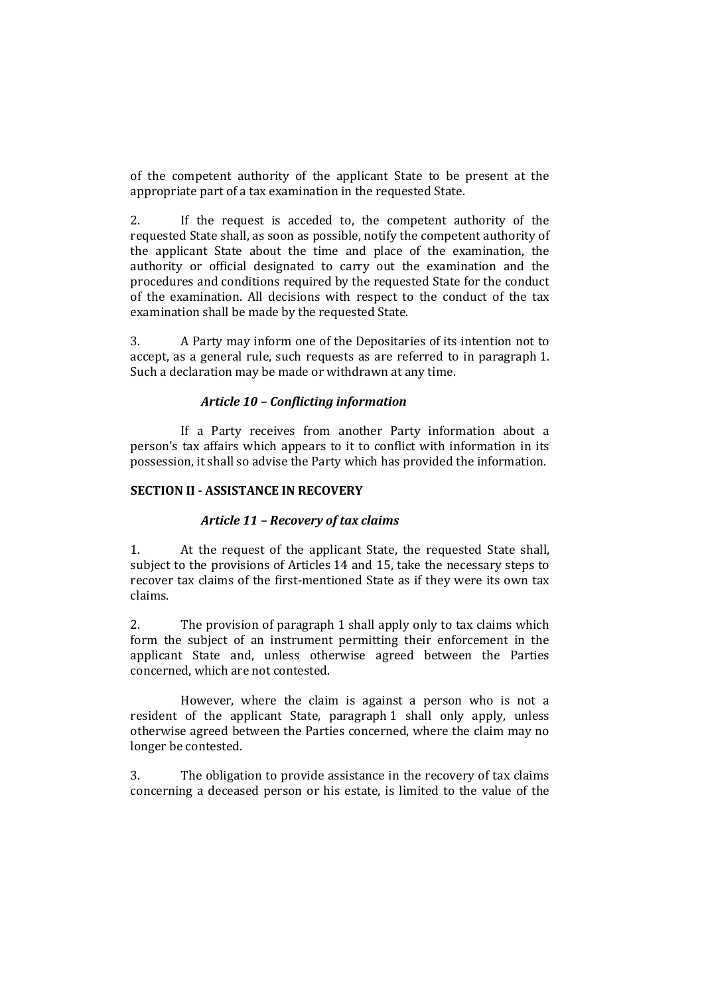of the competent authority of the applicant State to be present at the appropriate part of a tax examination in the requested State.

2. If the request is acceded to, the competent authority of the requested State shall, as soon as possible, notify the competent authority of the applicant State about the time and place of the examination, the authority or official designated to carry out the examination and the procedures and conditions required by the requested State for the conduct of the examination. All decisions with respect to the conduct of the tax examination shall be made by the requested State.

3. A Party may inform one of the Depositaries of its intention not to accept, as a general rule, such requests as are referred to in paragraph 1. Such a declaration may be made or withdrawn at any time.

#### *Article 10 – Conflicting information*

If a Party receives from another Party information about a person's tax affairs which appears to it to conflict with information in its possession, it shall so advise the Party which has provided the information.

### **SECTION II - ASSISTANCE IN RECOVERY**

#### *Article 11 – Recovery of tax claims*

1. At the request of the applicant State, the requested State shall, subject to the provisions of Articles 14 and 15, take the necessary steps to recover tax claims of the first-mentioned State as if they were its own tax claims.

2. The provision of paragraph 1 shall apply only to tax claims which form the subject of an instrument permitting their enforcement in the applicant State and, unless otherwise agreed between the Parties concerned, which are not contested.

However, where the claim is against a person who is not a resident of the applicant State, paragraph 1 shall only apply, unless otherwise agreed between the Parties concerned, where the claim may no longer be contested.

3. The obligation to provide assistance in the recovery of tax claims concerning a deceased person or his estate, is limited to the value of the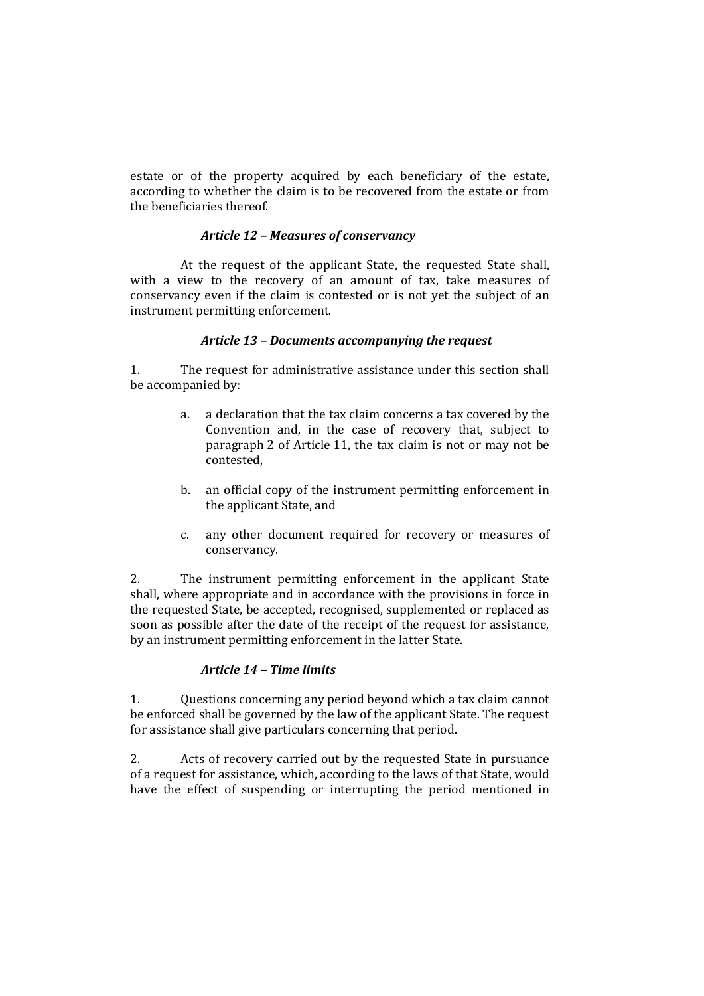estate or of the property acquired by each beneficiary of the estate, according to whether the claim is to be recovered from the estate or from the beneficiaries thereof.

### *Article 12 – Measures of conservancy*

At the request of the applicant State, the requested State shall, with a view to the recovery of an amount of tax, take measures of conservancy even if the claim is contested or is not yet the subject of an instrument permitting enforcement.

## *Article 13 – Documents accompanying the request*

1. The request for administrative assistance under this section shall be accompanied by:

- a. a declaration that the tax claim concerns a tax covered by the Convention and, in the case of recovery that, subject to paragraph 2 of Article 11, the tax claim is not or may not be contested,
- b. an official copy of the instrument permitting enforcement in the applicant State, and
- c. any other document required for recovery or measures of conservancy.

2. The instrument permitting enforcement in the applicant State shall, where appropriate and in accordance with the provisions in force in the requested State, be accepted, recognised, supplemented or replaced as soon as possible after the date of the receipt of the request for assistance, by an instrument permitting enforcement in the latter State.

## *Article 14 – Time limits*

1. Questions concerning any period beyond which a tax claim cannot be enforced shall be governed by the law of the applicant State. The request for assistance shall give particulars concerning that period.

2. Acts of recovery carried out by the requested State in pursuance of a request for assistance, which, according to the laws of that State, would have the effect of suspending or interrupting the period mentioned in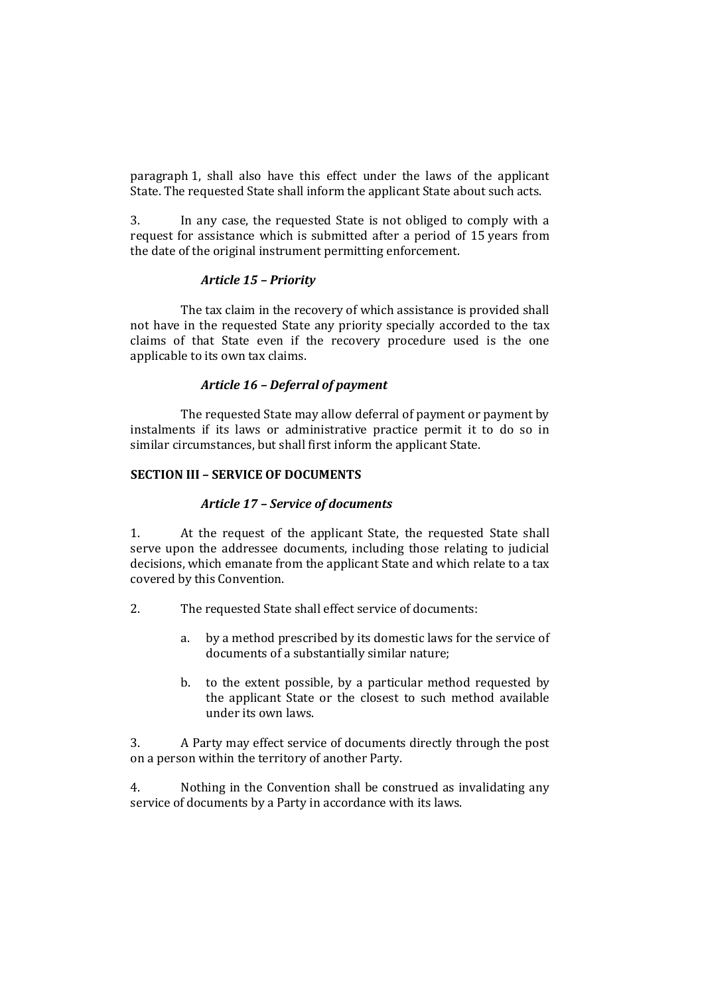paragraph 1, shall also have this effect under the laws of the applicant State. The requested State shall inform the applicant State about such acts.

3. In any case, the requested State is not obliged to comply with a request for assistance which is submitted after a period of 15 years from the date of the original instrument permitting enforcement.

### *Article 15 – Priority*

The tax claim in the recovery of which assistance is provided shall not have in the requested State any priority specially accorded to the tax claims of that State even if the recovery procedure used is the one applicable to its own tax claims.

#### *Article 16 – Deferral of payment*

The requested State may allow deferral of payment or payment by instalments if its laws or administrative practice permit it to do so in similar circumstances, but shall first inform the applicant State.

#### **SECTION III – SERVICE OF DOCUMENTS**

### *Article 17 – Service of documents*

1. At the request of the applicant State, the requested State shall serve upon the addressee documents, including those relating to judicial decisions, which emanate from the applicant State and which relate to a tax covered by this Convention.

- 2. The requested State shall effect service of documents:
	- a. by a method prescribed by its domestic laws for the service of documents of a substantially similar nature;
	- b. to the extent possible, by a particular method requested by the applicant State or the closest to such method available under its own laws.

3. A Party may effect service of documents directly through the post on a person within the territory of another Party.

4. Nothing in the Convention shall be construed as invalidating any service of documents by a Party in accordance with its laws.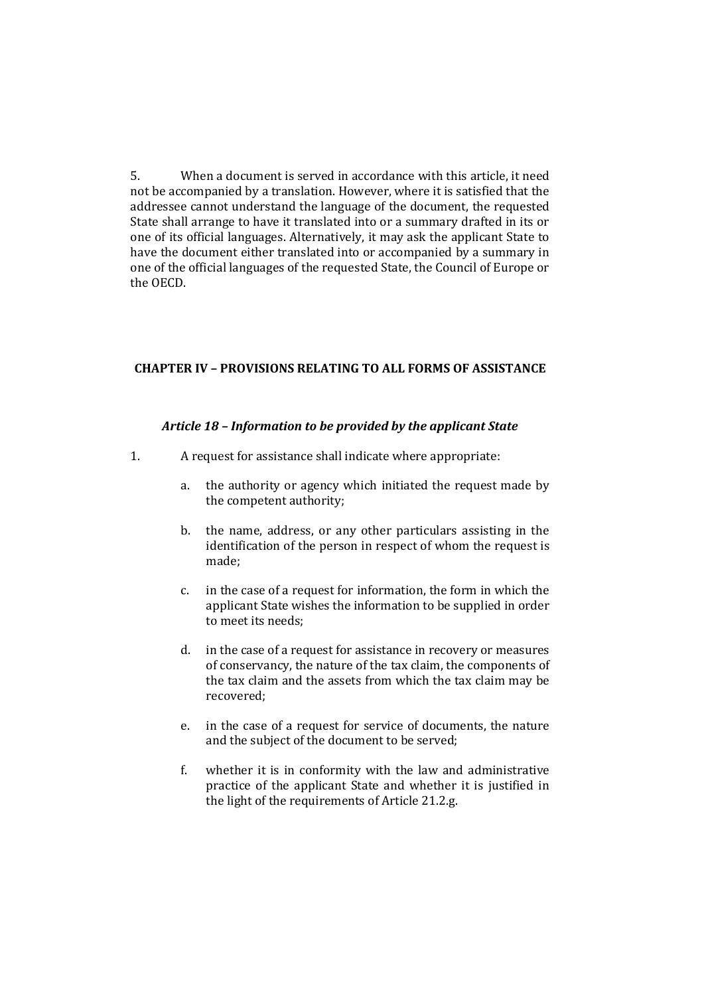5. When a document is served in accordance with this article, it need not be accompanied by a translation. However, where it is satisfied that the addressee cannot understand the language of the document, the requested State shall arrange to have it translated into or a summary drafted in its or one of its official languages. Alternatively, it may ask the applicant State to have the document either translated into or accompanied by a summary in one of the official languages of the requested State, the Council of Europe or the OECD.

### **CHAPTER IV – PROVISIONS RELATING TO ALL FORMS OF ASSISTANCE**

### *Article 18 – Information to be provided by the applicant State*

- 1. A request for assistance shall indicate where appropriate:
	- a. the authority or agency which initiated the request made by the competent authority;
	- b. the name, address, or any other particulars assisting in the identification of the person in respect of whom the request is made;
	- c. in the case of a request for information, the form in which the applicant State wishes the information to be supplied in order to meet its needs;
	- d. in the case of a request for assistance in recovery or measures of conservancy, the nature of the tax claim, the components of the tax claim and the assets from which the tax claim may be recovered;
	- e. in the case of a request for service of documents, the nature and the subject of the document to be served;
	- f. whether it is in conformity with the law and administrative practice of the applicant State and whether it is justified in the light of the requirements of Article 21.2.g.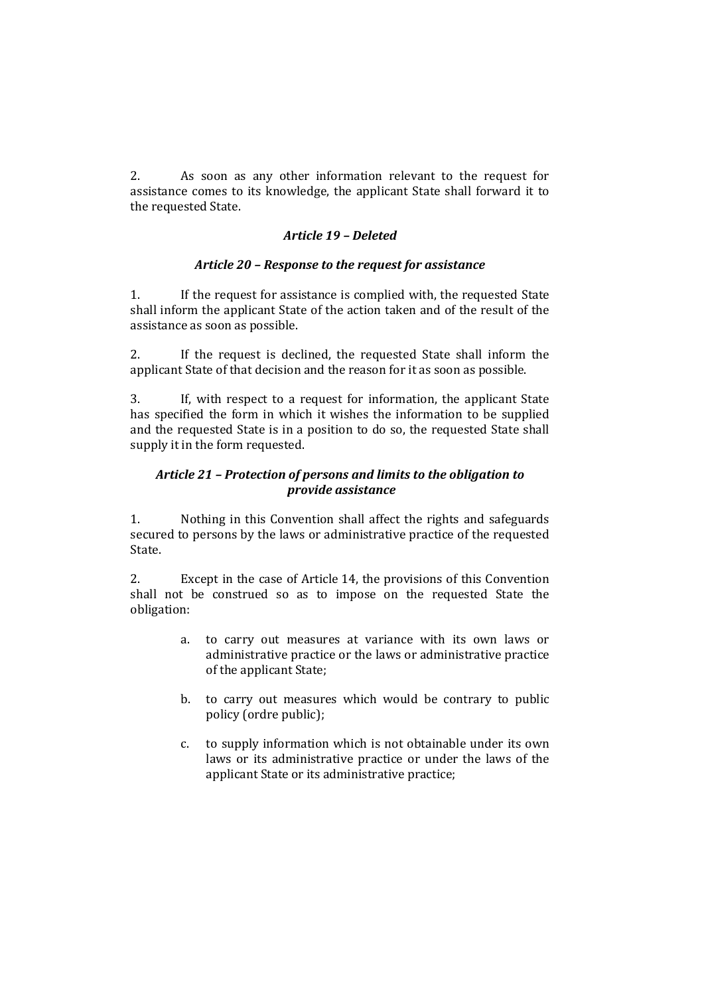2. As soon as any other information relevant to the request for assistance comes to its knowledge, the applicant State shall forward it to the requested State.

### *Article 19 – Deleted*

### *Article 20 – Response to the request for assistance*

1. If the request for assistance is complied with, the requested State shall inform the applicant State of the action taken and of the result of the assistance as soon as possible.

2. If the request is declined, the requested State shall inform the applicant State of that decision and the reason for it as soon as possible.

3. If, with respect to a request for information, the applicant State has specified the form in which it wishes the information to be supplied and the requested State is in a position to do so, the requested State shall supply it in the form requested.

## *Article 21 – Protection of persons and limits to the obligation to provide assistance*

1. Nothing in this Convention shall affect the rights and safeguards secured to persons by the laws or administrative practice of the requested State.

2. Except in the case of Article 14, the provisions of this Convention shall not be construed so as to impose on the requested State the obligation:

- a. to carry out measures at variance with its own laws or administrative practice or the laws or administrative practice of the applicant State;
- b. to carry out measures which would be contrary to public policy (ordre public);
- c. to supply information which is not obtainable under its own laws or its administrative practice or under the laws of the applicant State or its administrative practice;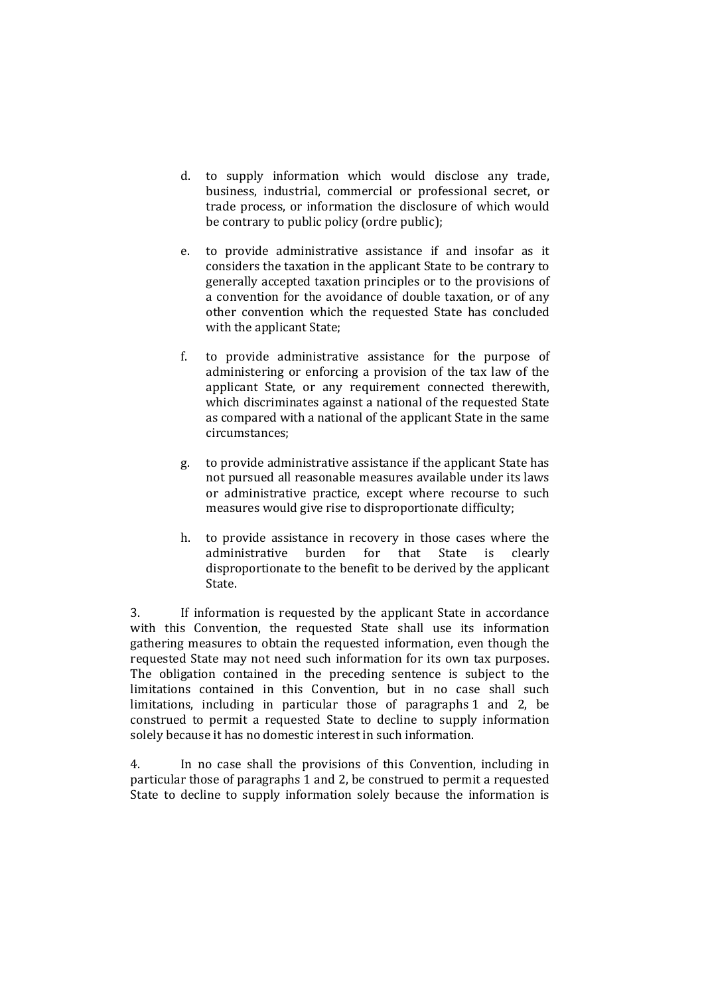- d. to supply information which would disclose any trade, business, industrial, commercial or professional secret, or trade process, or information the disclosure of which would be contrary to public policy (ordre public);
- e. to provide administrative assistance if and insofar as it considers the taxation in the applicant State to be contrary to generally accepted taxation principles or to the provisions of a convention for the avoidance of double taxation, or of any other convention which the requested State has concluded with the applicant State;
- f. to provide administrative assistance for the purpose of administering or enforcing a provision of the tax law of the applicant State, or any requirement connected therewith, which discriminates against a national of the requested State as compared with a national of the applicant State in the same circumstances;
- g. to provide administrative assistance if the applicant State has not pursued all reasonable measures available under its laws or administrative practice, except where recourse to such measures would give rise to disproportionate difficulty;
- h. to provide assistance in recovery in those cases where the administrative burden for that State is clearly disproportionate to the benefit to be derived by the applicant State.

3. If information is requested by the applicant State in accordance with this Convention, the requested State shall use its information gathering measures to obtain the requested information, even though the requested State may not need such information for its own tax purposes. The obligation contained in the preceding sentence is subject to the limitations contained in this Convention, but in no case shall such limitations, including in particular those of paragraphs 1 and 2, be construed to permit a requested State to decline to supply information solely because it has no domestic interest in such information.

4. In no case shall the provisions of this Convention, including in particular those of paragraphs 1 and 2, be construed to permit a requested State to decline to supply information solely because the information is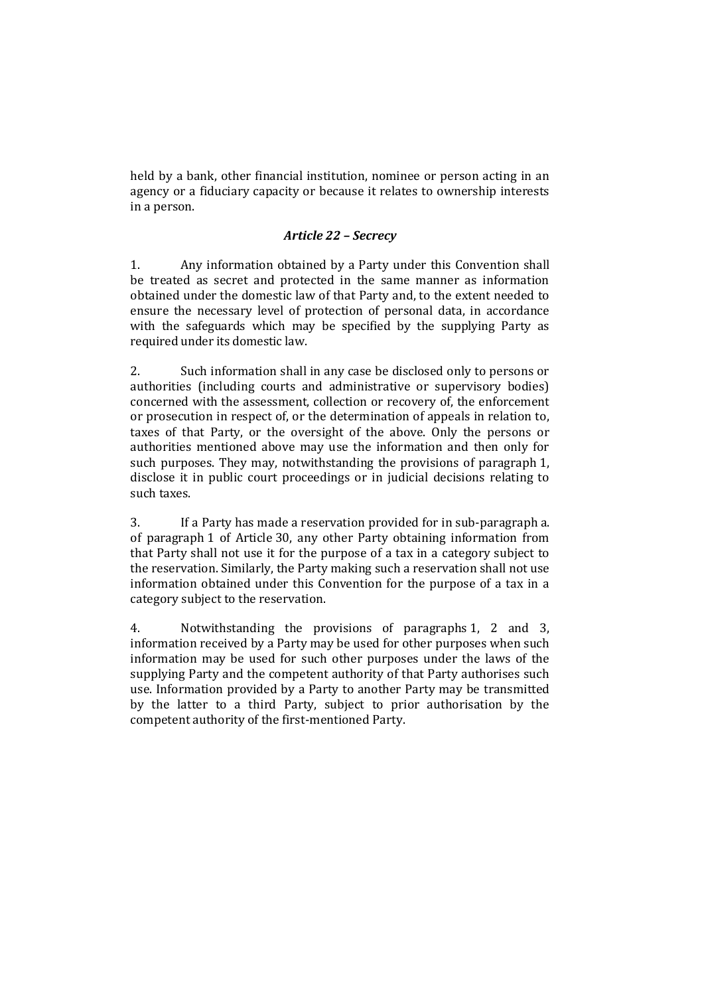held by a bank, other financial institution, nominee or person acting in an agency or a fiduciary capacity or because it relates to ownership interests in a person.

### *Article 22 – Secrecy*

1. Any information obtained by a Party under this Convention shall be treated as secret and protected in the same manner as information obtained under the domestic law of that Party and, to the extent needed to ensure the necessary level of protection of personal data, in accordance with the safeguards which may be specified by the supplying Party as required under its domestic law.

2. Such information shall in any case be disclosed only to persons or authorities (including courts and administrative or supervisory bodies) concerned with the assessment, collection or recovery of, the enforcement or prosecution in respect of, or the determination of appeals in relation to, taxes of that Party, or the oversight of the above. Only the persons or authorities mentioned above may use the information and then only for such purposes. They may, notwithstanding the provisions of paragraph 1, disclose it in public court proceedings or in judicial decisions relating to such taxes.

3. If a Party has made a reservation provided for in sub-paragraph a. of paragraph 1 of Article 30, any other Party obtaining information from that Party shall not use it for the purpose of a tax in a category subject to the reservation. Similarly, the Party making such a reservation shall not use information obtained under this Convention for the purpose of a tax in a category subject to the reservation.

4. Notwithstanding the provisions of paragraphs 1, 2 and 3, information received by a Party may be used for other purposes when such information may be used for such other purposes under the laws of the supplying Party and the competent authority of that Party authorises such use. Information provided by a Party to another Party may be transmitted by the latter to a third Party, subject to prior authorisation by the competent authority of the first-mentioned Party.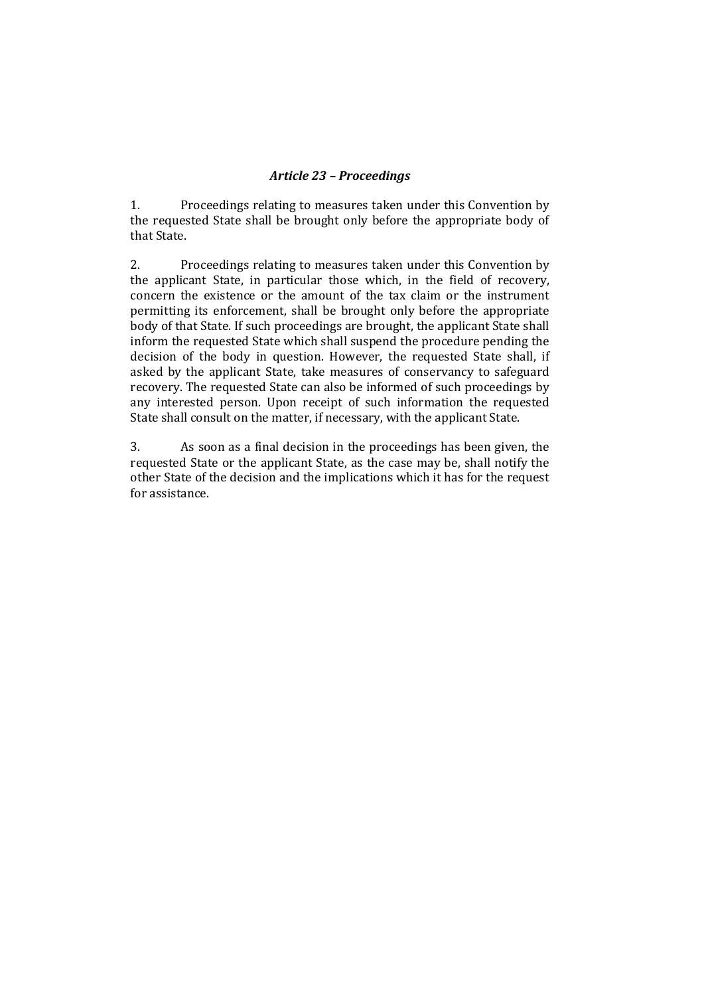### *Article 23 – Proceedings*

1. Proceedings relating to measures taken under this Convention by the requested State shall be brought only before the appropriate body of that State.

2. Proceedings relating to measures taken under this Convention by the applicant State, in particular those which, in the field of recovery, concern the existence or the amount of the tax claim or the instrument permitting its enforcement, shall be brought only before the appropriate body of that State. If such proceedings are brought, the applicant State shall inform the requested State which shall suspend the procedure pending the decision of the body in question. However, the requested State shall, if asked by the applicant State, take measures of conservancy to safeguard recovery. The requested State can also be informed of such proceedings by any interested person. Upon receipt of such information the requested State shall consult on the matter, if necessary, with the applicant State.

3. As soon as a final decision in the proceedings has been given, the requested State or the applicant State, as the case may be, shall notify the other State of the decision and the implications which it has for the request for assistance.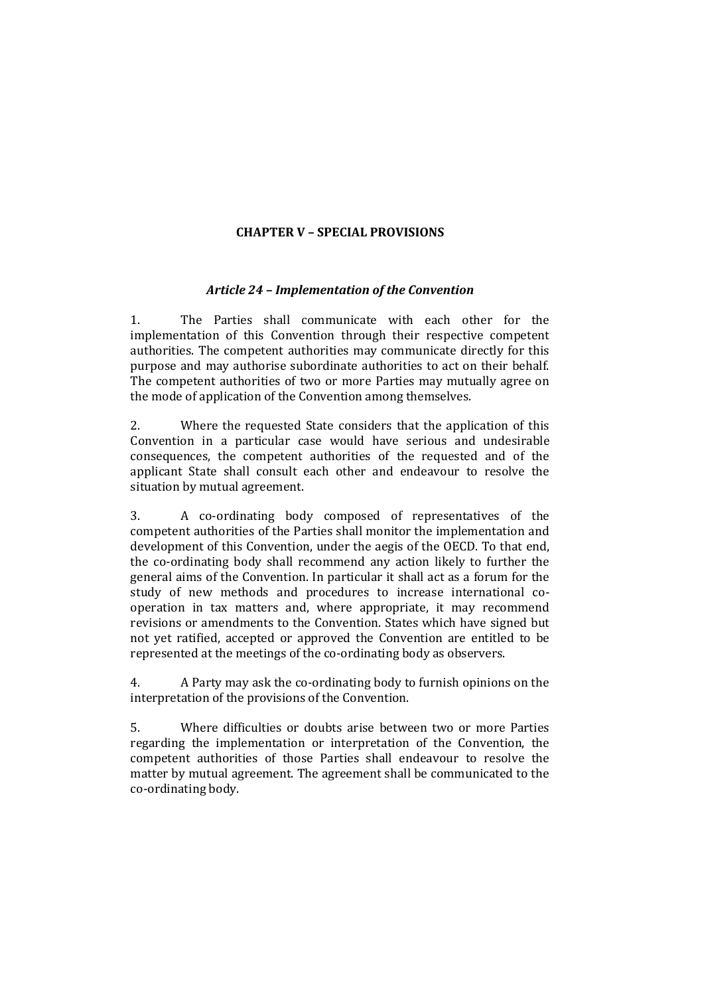## **CHAPTER V – SPECIAL PROVISIONS**

#### *Article 24 – Implementation of the Convention*

1. The Parties shall communicate with each other for the implementation of this Convention through their respective competent authorities. The competent authorities may communicate directly for this purpose and may authorise subordinate authorities to act on their behalf. The competent authorities of two or more Parties may mutually agree on the mode of application of the Convention among themselves.

2. Where the requested State considers that the application of this Convention in a particular case would have serious and undesirable consequences, the competent authorities of the requested and of the applicant State shall consult each other and endeavour to resolve the situation by mutual agreement.

3. A co-ordinating body composed of representatives of the competent authorities of the Parties shall monitor the implementation and development of this Convention, under the aegis of the OECD. To that end, the co-ordinating body shall recommend any action likely to further the general aims of the Convention. In particular it shall act as a forum for the study of new methods and procedures to increase international cooperation in tax matters and, where appropriate, it may recommend revisions or amendments to the Convention. States which have signed but not yet ratified, accepted or approved the Convention are entitled to be represented at the meetings of the co-ordinating body as observers.

4. A Party may ask the co-ordinating body to furnish opinions on the interpretation of the provisions of the Convention.

5. Where difficulties or doubts arise between two or more Parties regarding the implementation or interpretation of the Convention, the competent authorities of those Parties shall endeavour to resolve the matter by mutual agreement. The agreement shall be communicated to the co-ordinating body.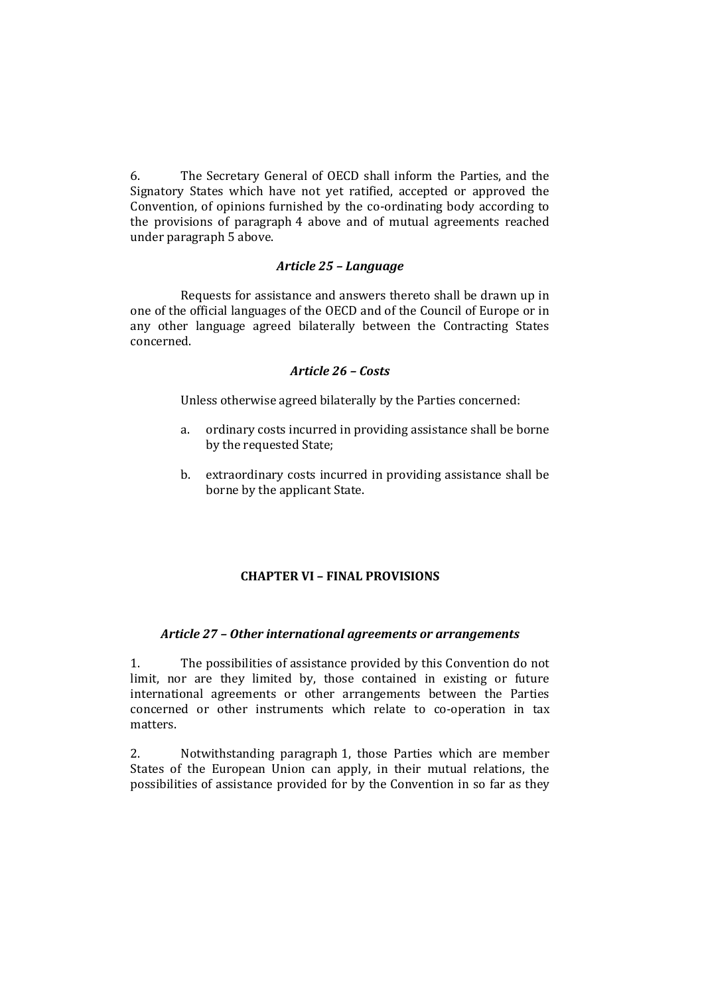6. The Secretary General of OECD shall inform the Parties, and the Signatory States which have not yet ratified, accepted or approved the Convention, of opinions furnished by the co-ordinating body according to the provisions of paragraph 4 above and of mutual agreements reached under paragraph 5 above.

### *Article 25 – Language*

Requests for assistance and answers thereto shall be drawn up in one of the official languages of the OECD and of the Council of Europe or in any other language agreed bilaterally between the Contracting States concerned.

#### *Article 26 – Costs*

Unless otherwise agreed bilaterally by the Parties concerned:

- a. ordinary costs incurred in providing assistance shall be borne by the requested State;
- b. extraordinary costs incurred in providing assistance shall be borne by the applicant State.

## **CHAPTER VI – FINAL PROVISIONS**

#### *Article 27 – Other international agreements or arrangements*

1. The possibilities of assistance provided by this Convention do not limit, nor are they limited by, those contained in existing or future international agreements or other arrangements between the Parties concerned or other instruments which relate to co-operation in tax matters.

2. Notwithstanding paragraph 1, those Parties which are member States of the European Union can apply, in their mutual relations, the possibilities of assistance provided for by the Convention in so far as they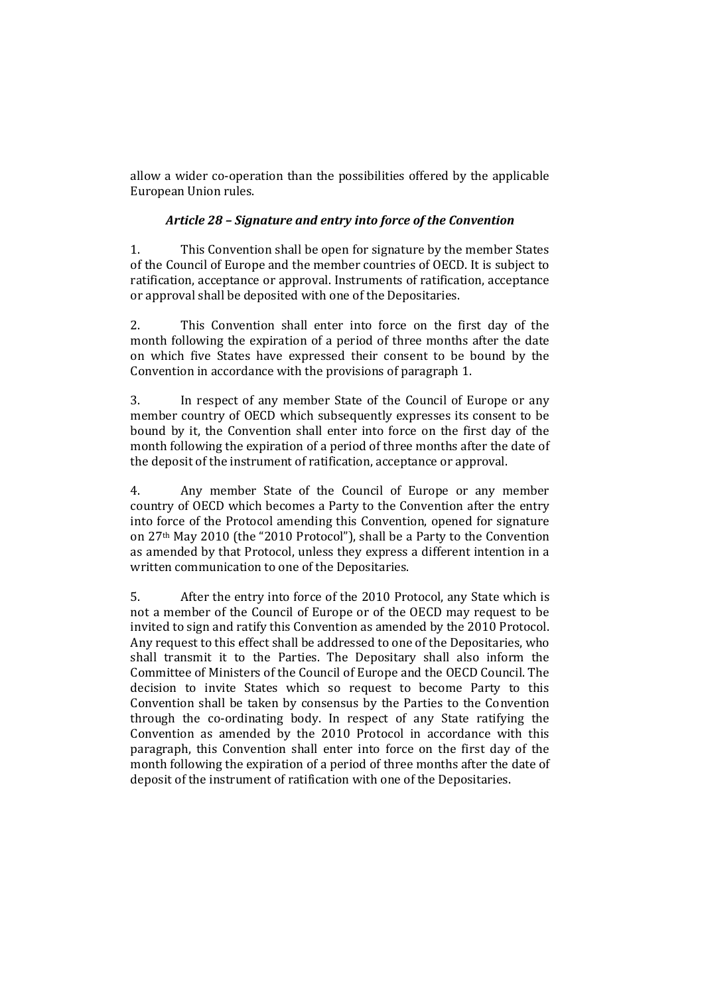allow a wider co-operation than the possibilities offered by the applicable European Union rules.

## *Article 28 – Signature and entry into force of the Convention*

1. This Convention shall be open for signature by the member States of the Council of Europe and the member countries of OECD. It is subject to ratification, acceptance or approval. Instruments of ratification, acceptance or approval shall be deposited with one of the Depositaries.

2. This Convention shall enter into force on the first day of the month following the expiration of a period of three months after the date on which five States have expressed their consent to be bound by the Convention in accordance with the provisions of paragraph 1.

3. In respect of any member State of the Council of Europe or any member country of OECD which subsequently expresses its consent to be bound by it, the Convention shall enter into force on the first day of the month following the expiration of a period of three months after the date of the deposit of the instrument of ratification, acceptance or approval.

4. Any member State of the Council of Europe or any member country of OECD which becomes a Party to the Convention after the entry into force of the Protocol amending this Convention, opened for signature on 27th May 2010 (the "2010 Protocol"), shall be a Party to the Convention as amended by that Protocol, unless they express a different intention in a written communication to one of the Depositaries.

5. After the entry into force of the 2010 Protocol, any State which is not a member of the Council of Europe or of the OECD may request to be invited to sign and ratify this Convention as amended by the 2010 Protocol. Any request to this effect shall be addressed to one of the Depositaries, who shall transmit it to the Parties. The Depositary shall also inform the Committee of Ministers of the Council of Europe and the OECD Council. The decision to invite States which so request to become Party to this Convention shall be taken by consensus by the Parties to the Convention through the co-ordinating body. In respect of any State ratifying the Convention as amended by the 2010 Protocol in accordance with this paragraph, this Convention shall enter into force on the first day of the month following the expiration of a period of three months after the date of deposit of the instrument of ratification with one of the Depositaries.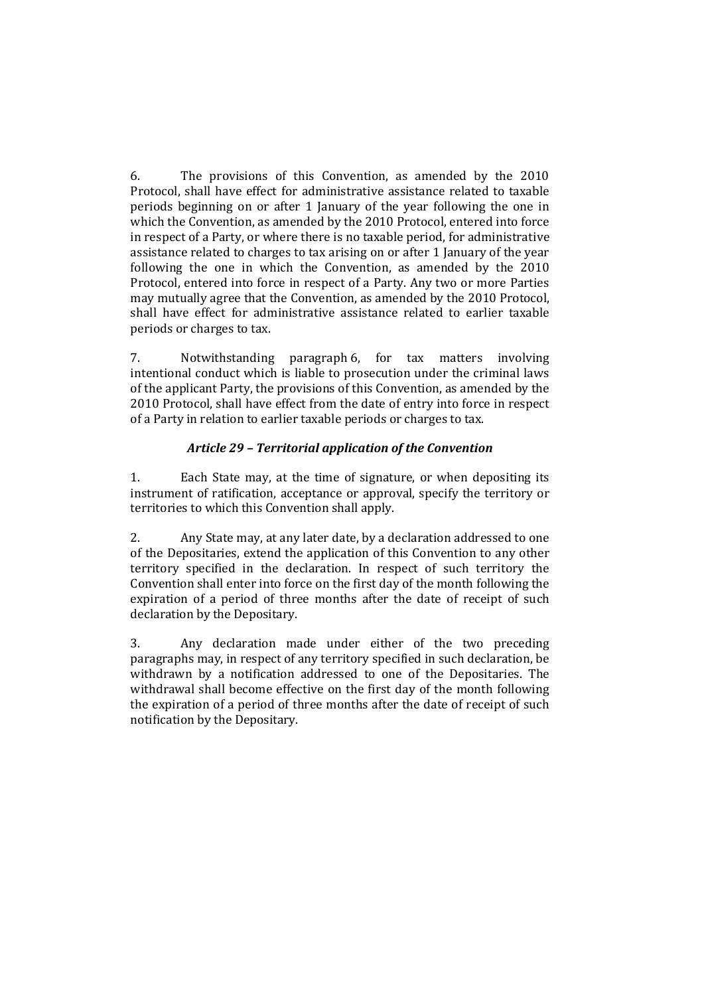6. The provisions of this Convention, as amended by the 2010 Protocol, shall have effect for administrative assistance related to taxable periods beginning on or after 1 January of the year following the one in which the Convention, as amended by the 2010 Protocol, entered into force in respect of a Party, or where there is no taxable period, for administrative assistance related to charges to tax arising on or after 1 January of the year following the one in which the Convention, as amended by the 2010 Protocol, entered into force in respect of a Party. Any two or more Parties may mutually agree that the Convention, as amended by the 2010 Protocol, shall have effect for administrative assistance related to earlier taxable periods or charges to tax.

7. Notwithstanding paragraph 6, for tax matters involving intentional conduct which is liable to prosecution under the criminal laws of the applicant Party, the provisions of this Convention, as amended by the 2010 Protocol, shall have effect from the date of entry into force in respect of a Party in relation to earlier taxable periods or charges to tax.

## *Article 29 – Territorial application of the Convention*

1. Each State may, at the time of signature, or when depositing its instrument of ratification, acceptance or approval, specify the territory or territories to which this Convention shall apply.

2. Any State may, at any later date, by a declaration addressed to one of the Depositaries, extend the application of this Convention to any other territory specified in the declaration. In respect of such territory the Convention shall enter into force on the first day of the month following the expiration of a period of three months after the date of receipt of such declaration by the Depositary.

3. Any declaration made under either of the two preceding paragraphs may, in respect of any territory specified in such declaration, be withdrawn by a notification addressed to one of the Depositaries. The withdrawal shall become effective on the first day of the month following the expiration of a period of three months after the date of receipt of such notification by the Depositary.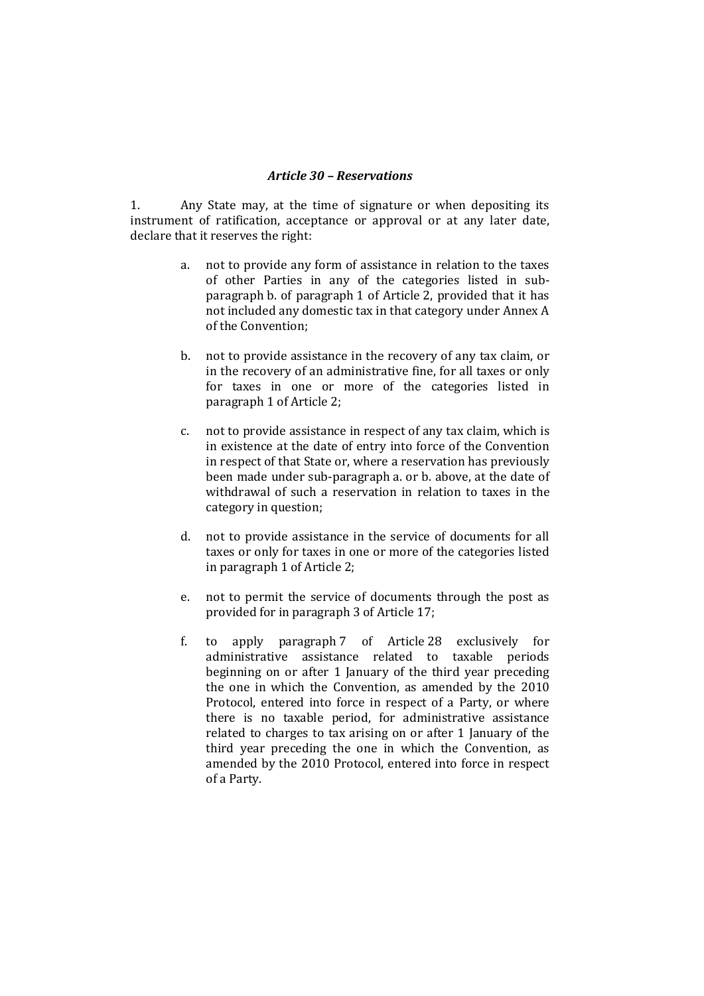#### *Article 30 – Reservations*

1. Any State may, at the time of signature or when depositing its instrument of ratification, acceptance or approval or at any later date, declare that it reserves the right:

- a. not to provide any form of assistance in relation to the taxes of other Parties in any of the categories listed in subparagraph b. of paragraph 1 of Article 2, provided that it has not included any domestic tax in that category under Annex A of the Convention;
- b. not to provide assistance in the recovery of any tax claim, or in the recovery of an administrative fine, for all taxes or only for taxes in one or more of the categories listed in paragraph 1 of Article 2;
- c. not to provide assistance in respect of any tax claim, which is in existence at the date of entry into force of the Convention in respect of that State or, where a reservation has previously been made under sub-paragraph a. or b. above, at the date of withdrawal of such a reservation in relation to taxes in the category in question;
- d. not to provide assistance in the service of documents for all taxes or only for taxes in one or more of the categories listed in paragraph 1 of Article 2;
- e. not to permit the service of documents through the post as provided for in paragraph 3 of Article 17;
- f. to apply paragraph 7 of Article 28 exclusively for administrative assistance related to taxable periods beginning on or after 1 January of the third year preceding the one in which the Convention, as amended by the 2010 Protocol, entered into force in respect of a Party, or where there is no taxable period, for administrative assistance related to charges to tax arising on or after 1 January of the third year preceding the one in which the Convention, as amended by the 2010 Protocol, entered into force in respect of a Party.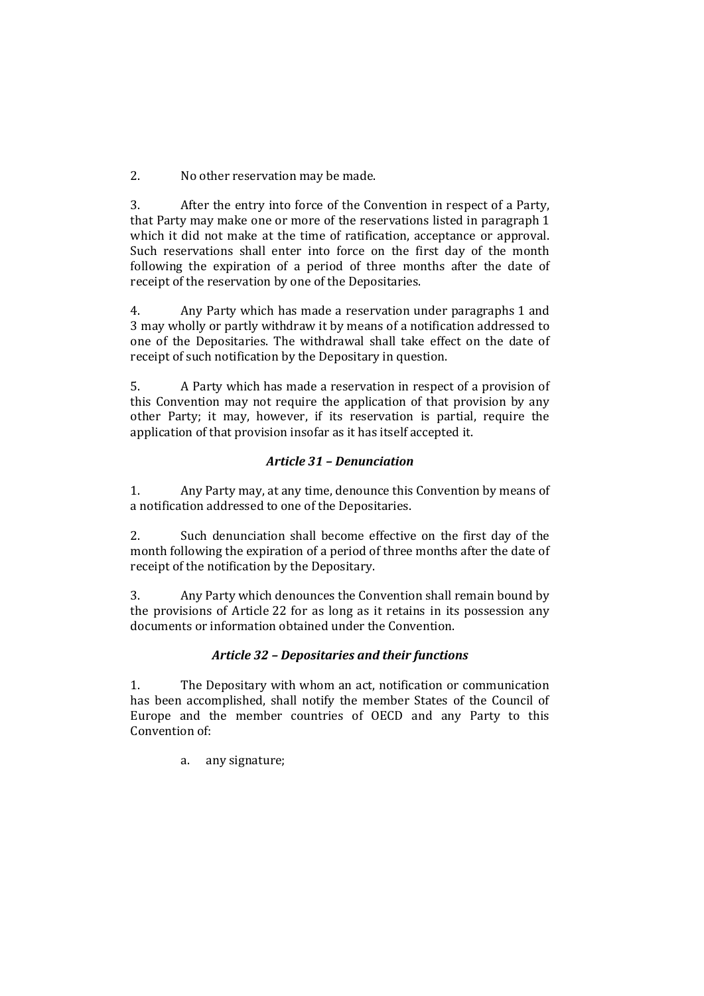2. No other reservation may be made.

3. After the entry into force of the Convention in respect of a Party, that Party may make one or more of the reservations listed in paragraph 1 which it did not make at the time of ratification, acceptance or approval. Such reservations shall enter into force on the first day of the month following the expiration of a period of three months after the date of receipt of the reservation by one of the Depositaries.

4. Any Party which has made a reservation under paragraphs 1 and 3 may wholly or partly withdraw it by means of a notification addressed to one of the Depositaries. The withdrawal shall take effect on the date of receipt of such notification by the Depositary in question.

5. A Party which has made a reservation in respect of a provision of this Convention may not require the application of that provision by any other Party; it may, however, if its reservation is partial, require the application of that provision insofar as it has itself accepted it.

## *Article 31 – Denunciation*

1. Any Party may, at any time, denounce this Convention by means of a notification addressed to one of the Depositaries.

2. Such denunciation shall become effective on the first day of the month following the expiration of a period of three months after the date of receipt of the notification by the Depositary.

3. Any Party which denounces the Convention shall remain bound by the provisions of Article 22 for as long as it retains in its possession any documents or information obtained under the Convention.

# *Article 32 – Depositaries and their functions*

1. The Depositary with whom an act, notification or communication has been accomplished, shall notify the member States of the Council of Europe and the member countries of OECD and any Party to this Convention of:

a. any signature;